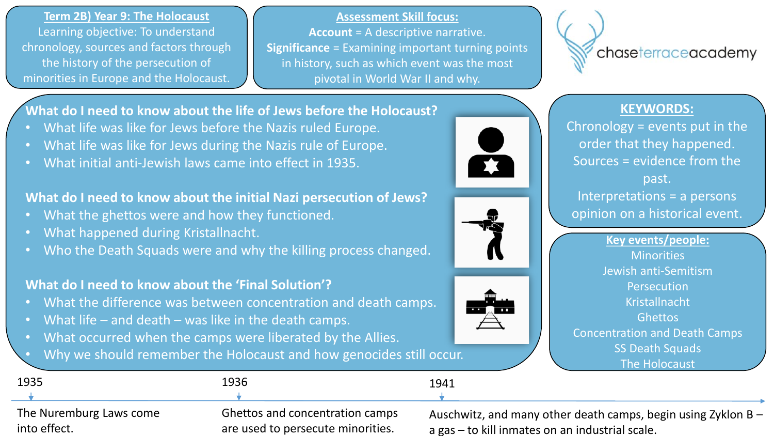**Term 2B) Year 9: The Holocaust** Learning objective: To understand chronology, sources and factors through the history of the persecution of minorities in Europe and the Holocaust.

**Assessment Skill focus:**

**Account** = A descriptive narrative. **Significance** = Examining important turning points in history, such as which event was the most pivotal in World War II and why.

**TAX** 

chaseterraceacademy

## **KEYWORDS:**

Chronology = events put in the order that they happened. Sources = evidence from the past. Interpretations = a persons opinion on a historical event.



**What do I need to know about the life of Jews before the Holocaust?**

- What life was like for Jews before the Nazis ruled Europe.
- What life was like for Jews during the Nazis rule of Europe.
- What initial anti-Jewish laws came into effect in 1935.

# **What do I need to know about the initial Nazi persecution of Jews?**

- What the ghettos were and how they functioned.
- What happened during Kristallnacht.
- Who the Death Squads were and why the killing process changed.

# **What do I need to know about the 'Final Solution'?**

- What the difference was between concentration and death camps.
- What life and death was like in the death camps.
- What occurred when the camps were liberated by the Allies.

• Why we should remember the Holocaust and how genocides still occur.

| 1935                    | 1936                                   | 1941                                                            |
|-------------------------|----------------------------------------|-----------------------------------------------------------------|
|                         |                                        |                                                                 |
| The Nuremburg Laws come | <b>Ghettos and concentration camps</b> | Auschwitz, and many other death camps, begin using Zyklon $B -$ |
| into effect.            | are used to persecute minorities.      | a gas – to kill inmates on an industrial scale.                 |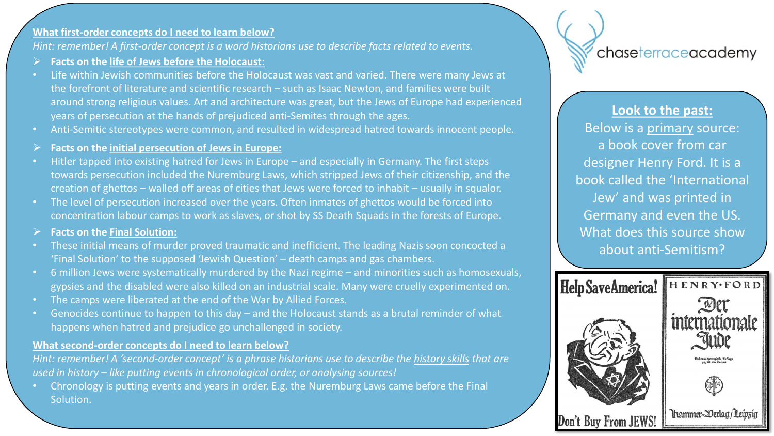#### **What first-order concepts do I need to learn below?**

*Hint: remember! A first-order concept is a word historians use to describe facts related to events.*

- **Facts on the life of Jews before the Holocaust:**
- Life within Jewish communities before the Holocaust was vast and varied. There were many Jews at the forefront of literature and scientific research – such as Isaac Newton, and families were built around strong religious values. Art and architecture was great, but the Jews of Europe had experienced years of persecution at the hands of prejudiced anti-Semites through the ages.
- Anti-Semitic stereotypes were common, and resulted in widespread hatred towards innocent people.
- **Facts on the initial persecution of Jews in Europe:**
- Hitler tapped into existing hatred for Jews in Europe and especially in Germany. The first steps towards persecution included the Nuremburg Laws, which stripped Jews of their citizenship, and the creation of ghettos – walled off areas of cities that Jews were forced to inhabit – usually in squalor.
- The level of persecution increased over the years. Often inmates of ghettos would be forced into concentration labour camps to work as slaves, or shot by SS Death Squads in the forests of Europe.
- **Facts on the Final Solution:**
- These initial means of murder proved traumatic and inefficient. The leading Nazis soon concocted a 'Final Solution' to the supposed 'Jewish Question' – death camps and gas chambers.
- 6 million Jews were systematically murdered by the Nazi regime and minorities such as homosexuals, gypsies and the disabled were also killed on an industrial scale. Many were cruelly experimented on.
- The camps were liberated at the end of the War by Allied Forces.
- Genocides continue to happen to this day and the Holocaust stands as a brutal reminder of what happens when hatred and prejudice go unchallenged in society.

#### **What second-order concepts do I need to learn below?**

*Hint: remember! A 'second-order concept' is a phrase historians use to describe the history skills that are used in history – like putting events in chronological order, or analysing sources!*

• Chronology is putting events and years in order. E.g. the Nuremburg Laws came before the Final Solution.



**Look to the past:** Below is a primary source: a book cover from car designer Henry Ford. It is a book called the 'International Jew' and was printed in Germany and even the US. What does this source show about anti-Semitism?

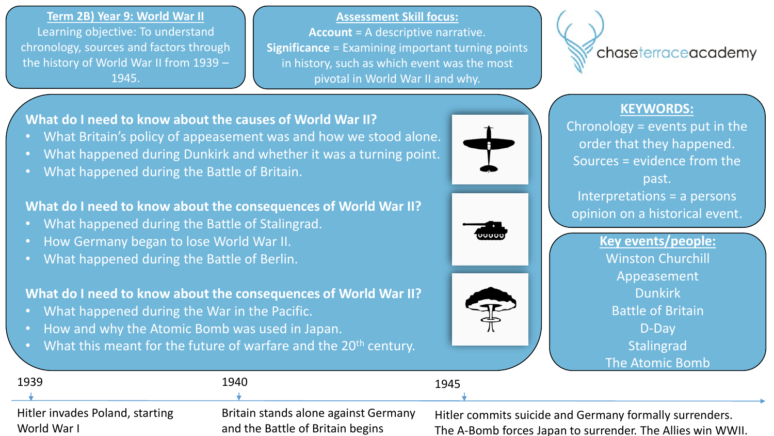**Term 2B) Year 9: World War II** Learning objective: To understand chronology, sources and factors through the history of World War II from 1939 – 1945.

**Assessment Skill focus:**

**Account** = A descriptive narrative. **Significance** = Examining important turning points in history, such as which event was the most pivotal in World War II and why.



## **KEYWORDS:**

Chronology = events put in the order that they happened. Sources = evidence from the past. Interpretations = a persons opinion on a historical event.

> **Key events/people:** Winston Churchill Appeasement Dunkirk Battle of Britain D-Day **Stalingrad** The Atomic Domb

**What do I need to know about the causes of World War II?**

- What Britain's policy of appeasement was and how we stood alone.
- What happened during Dunkirk and whether it was a turning point.
- What happened during the Battle of Britain.

# **What do I need to know about the consequences of World War II?**

- What happened during the Battle of Stalingrad.
- How Germany began to lose World War II.
- What happened during the Battle of Berlin.

## **What do I need to know about the consequences of World War II?**

- What happened during the War in the Pacific.
- How and why the Atomic Bomb was used in Japan.
- What this meant for the future of warfare and the 20<sup>th</sup> century.

|                                 |                                      | <b>THE AUTHIL DUTTD</b>                                    |
|---------------------------------|--------------------------------------|------------------------------------------------------------|
| 1939                            | 1940                                 | 1945                                                       |
|                                 |                                      |                                                            |
| Hitler invades Poland, starting | Britain stands alone against Germany | Hitler commits suicide and Germany formally surrenders.    |
| World War I                     | and the Battle of Britain begins     | The A-Bomb forces Japan to surrender. The Allies win WWII. |